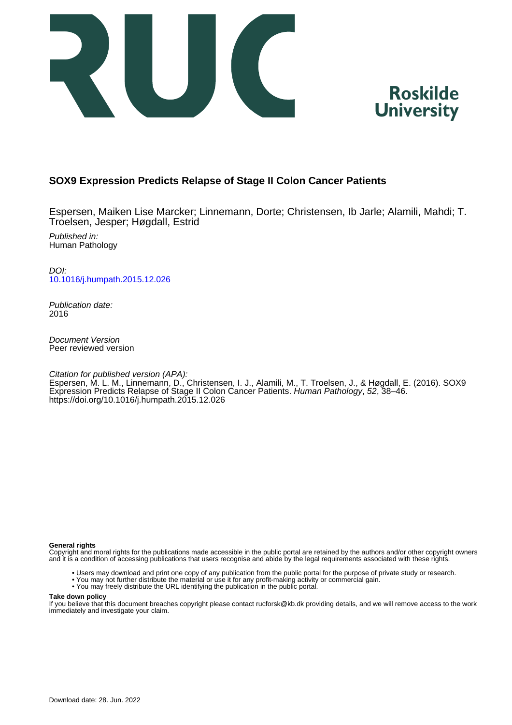



#### **SOX9 Expression Predicts Relapse of Stage II Colon Cancer Patients**

Espersen, Maiken Lise Marcker; Linnemann, Dorte; Christensen, Ib Jarle; Alamili, Mahdi; T. Troelsen, Jesper; Høgdall, Estrid

Published in: Human Pathology

DOI: [10.1016/j.humpath.2015.12.026](https://doi.org/10.1016/j.humpath.2015.12.026)

Publication date: 2016

Document Version Peer reviewed version

Citation for published version (APA):

Espersen, M. L. M., Linnemann, D., Christensen, I. J., Alamili, M., T. Troelsen, J., & Høgdall, E. (2016). SOX9 Expression Predicts Relapse of Stage II Colon Cancer Patients. Human Pathology, 52, 38–46. <https://doi.org/10.1016/j.humpath.2015.12.026>

#### **General rights**

Copyright and moral rights for the publications made accessible in the public portal are retained by the authors and/or other copyright owners and it is a condition of accessing publications that users recognise and abide by the legal requirements associated with these rights.

- Users may download and print one copy of any publication from the public portal for the purpose of private study or research.
- You may not further distribute the material or use it for any profit-making activity or commercial gain.
- You may freely distribute the URL identifying the publication in the public portal.

#### **Take down policy**

If you believe that this document breaches copyright please contact rucforsk@kb.dk providing details, and we will remove access to the work immediately and investigate your claim.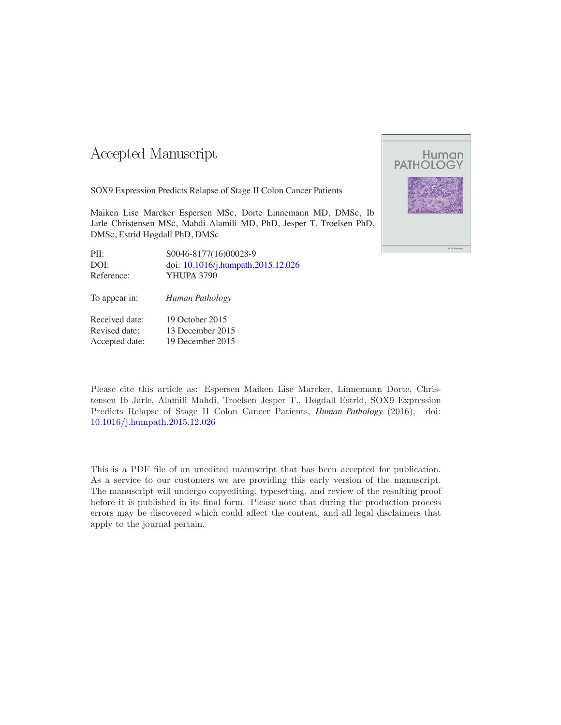### Accepted Manuscript

SOX9 Expression Predicts Relapse of Stage II Colon Cancer Patients

Maiken Lise Marcker Espersen MSc, Dorte Linnemann MD, DMSc, Ib Jarle Christensen MSc, Mahdi Alamili MD, PhD, Jesper T. Troelsen PhD, DMSc, Estrid Høgdall PhD, DMSc

| PII:       | S0046-8177(16)00028-9              |
|------------|------------------------------------|
| DOI:       | doi: 10.1016/j.humpath.2015.12.026 |
| Reference: | <b>YHUPA 3790</b>                  |
|            |                                    |

To appear in: *Human Pathology*

| Received date: | 19 October 2015  |
|----------------|------------------|
| Revised date:  | 13 December 2015 |
| Accepted date: | 19 December 2015 |



Please cite this article as: Espersen Maiken Lise Marcker, Linnemann Dorte, Christensen Ib Jarle, Alamili Mahdi, Troelsen Jesper T., Høgdall Estrid, SOX9 Expression Predicts Relapse of Stage II Colon Cancer Patients, *Human Pathology* (2016), doi: [10.1016/j.humpath.2015.12.026](http://dx.doi.org/10.1016/j.humpath.2015.12.026)

This is a PDF file of an unedited manuscript that has been accepted for publication. As a service to our customers we are providing this early version of the manuscript. The manuscript will undergo copyediting, typesetting, and review of the resulting proof before it is published in its final form. Please note that during the production process errors may be discovered which could affect the content, and all legal disclaimers that apply to the journal pertain.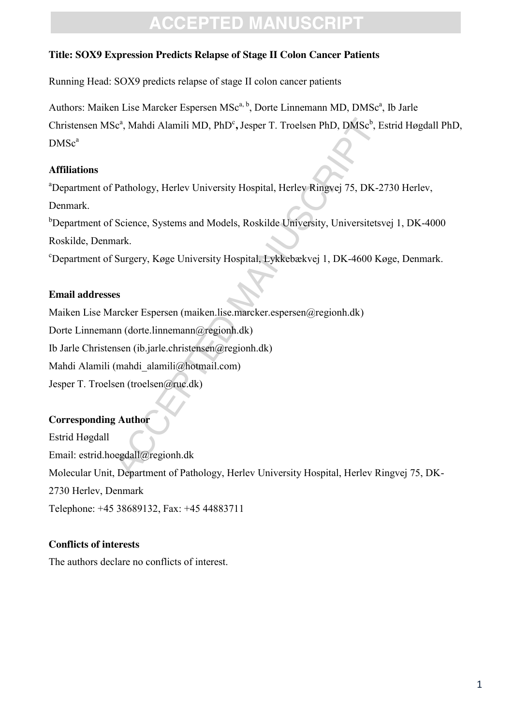### **Title: SOX9 Expression Predicts Relapse of Stage II Colon Cancer Patients**

Running Head: SOX9 predicts relapse of stage II colon cancer patients

Authors: Maiken Lise Marcker Espersen MSc<sup>a, b</sup>, Dorte Linnemann MD, DMSc<sup>a</sup>, Ib Jarle Christensen MSc<sup>a</sup>, Mahdi Alamili MD, PhD<sup>c</sup>, Jesper T. Troelsen PhD, DMSc<sup>b</sup>, Estrid Høgdall PhD,  $DMSc<sup>a</sup>$ 

### **Affiliations**

<sup>a</sup>Department of Pathology, Herlev University Hospital, Herlev Ringvej 75, DK-2730 Herlev, Denmark.

<sup>b</sup>Department of Science, Systems and Models, Roskilde University, Universitetsvej 1, DK-4000 Roskilde, Denmark.

c Department of Surgery, Køge University Hospital, Lykkebækvej 1, DK-4600 Køge, Denmark.

### **Email addresses**

Sc<sup>a</sup>, Mahdi Alamili MD, PhD°, Jesper T. Troelsen PhD, DMSc<sup>b</sup>,<br>Pathology, Herlev University Hospital, Herlev Ringvej 75, DK<br>Science, Systems and Models, Roskilde University, Universite<br>nark.<br>Surgery, Køge University Hospi Maiken Lise Marcker Espersen (maiken.lise.marcker.espersen@regionh.dk) Dorte Linnemann (dorte.linnemann@regionh.dk) Ib Jarle Christensen (ib.jarle.christensen@regionh.dk) Mahdi Alamili (mahdi\_alamili@hotmail.com) Jesper T. Troelsen (troelsen@ruc.dk)

### **Corresponding Author**

Estrid Høgdall Email: estrid.hoegdall@regionh.dk Molecular Unit, Department of Pathology, Herlev University Hospital, Herlev Ringvej 75, DK-2730 Herlev, Denmark Telephone: +45 38689132, Fax: +45 44883711

### **Conflicts of interests**

The authors declare no conflicts of interest.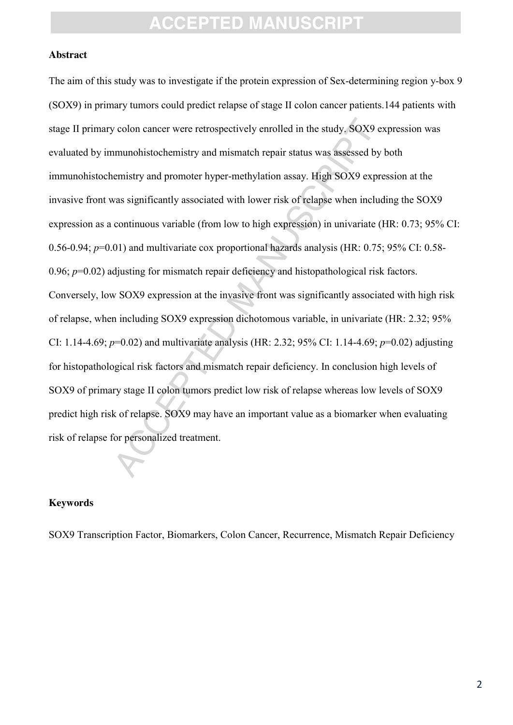#### **Abstract**

colon cancer were retrospectively enrolled in the study, SOX9<br>munohistochemistry and mismatch repair status was assessed b<br>emistry and promoter hyper-methylation assay. High SOX9 expass significantly associated with lower The aim of this study was to investigate if the protein expression of Sex-determining region y-box 9 (SOX9) in primary tumors could predict relapse of stage II colon cancer patients.144 patients with stage II primary colon cancer were retrospectively enrolled in the study. SOX9 expression was evaluated by immunohistochemistry and mismatch repair status was assessed by both immunohistochemistry and promoter hyper-methylation assay. High SOX9 expression at the invasive front was significantly associated with lower risk of relapse when including the SOX9 expression as a continuous variable (from low to high expression) in univariate (HR: 0.73; 95% CI: 0.56-0.94; *p*=0.01) and multivariate cox proportional hazards analysis (HR: 0.75; 95% CI: 0.58- 0.96;  $p=0.02$ ) adjusting for mismatch repair deficiency and histopathological risk factors. Conversely, low SOX9 expression at the invasive front was significantly associated with high risk of relapse, when including SOX9 expression dichotomous variable, in univariate (HR: 2.32; 95% CI: 1.14-4.69; *p*=0.02) and multivariate analysis (HR: 2.32; 95% CI: 1.14-4.69; *p*=0.02) adjusting for histopathological risk factors and mismatch repair deficiency. In conclusion high levels of SOX9 of primary stage II colon tumors predict low risk of relapse whereas low levels of SOX9 predict high risk of relapse. SOX9 may have an important value as a biomarker when evaluating risk of relapse for personalized treatment.

#### **Keywords**

SOX9 Transcription Factor, Biomarkers, Colon Cancer, Recurrence, Mismatch Repair Deficiency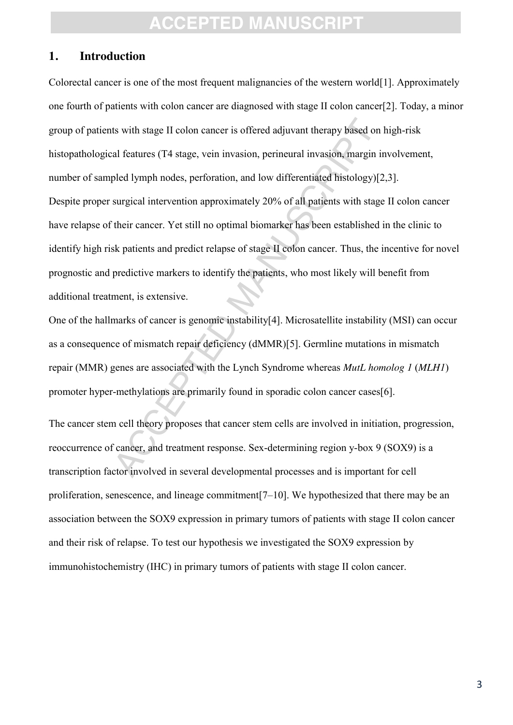### **1. Introduction**

ts with stage II colon cancer is offered adjuvant therapy based of al features (T4 stage, vein invasion, perineural invasion, margin pled lymph nodes, perforation, and low differentiated histology) surgical intervention ap Colorectal cancer is one of the most frequent malignancies of the western world[1]. Approximately one fourth of patients with colon cancer are diagnosed with stage II colon cancer[2]. Today, a minor group of patients with stage II colon cancer is offered adjuvant therapy based on high-risk histopathological features (T4 stage, vein invasion, perineural invasion, margin involvement, number of sampled lymph nodes, perforation, and low differentiated histology)[2,3]. Despite proper surgical intervention approximately 20% of all patients with stage II colon cancer have relapse of their cancer. Yet still no optimal biomarker has been established in the clinic to identify high risk patients and predict relapse of stage II colon cancer. Thus, the incentive for novel prognostic and predictive markers to identify the patients, who most likely will benefit from additional treatment, is extensive.

One of the hallmarks of cancer is genomic instability[4]. Microsatellite instability (MSI) can occur as a consequence of mismatch repair deficiency (dMMR)[5]. Germline mutations in mismatch repair (MMR) genes are associated with the Lynch Syndrome whereas *MutL homolog 1* (*MLH1*) promoter hyper-methylations are primarily found in sporadic colon cancer cases[6].

The cancer stem cell theory proposes that cancer stem cells are involved in initiation, progression, reoccurrence of cancer, and treatment response. Sex-determining region y-box 9 (SOX9) is a transcription factor involved in several developmental processes and is important for cell proliferation, senescence, and lineage commitment[7–10]. We hypothesized that there may be an association between the SOX9 expression in primary tumors of patients with stage II colon cancer and their risk of relapse. To test our hypothesis we investigated the SOX9 expression by immunohistochemistry (IHC) in primary tumors of patients with stage II colon cancer.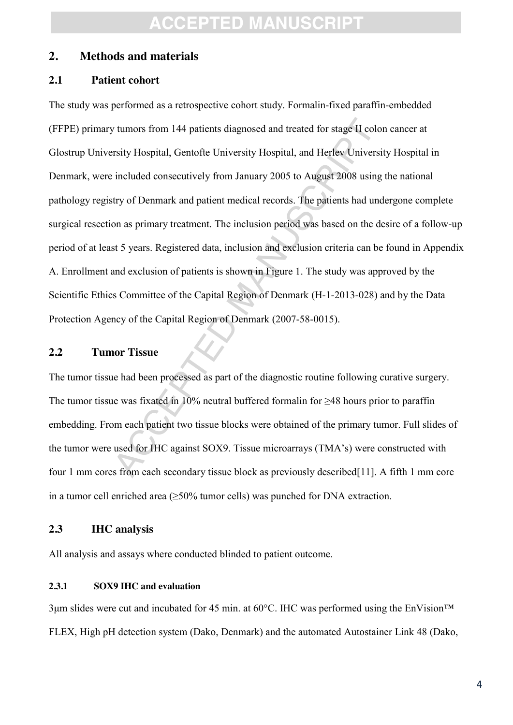#### **2. Methods and materials**

#### **2.1 Patient cohort**

the turnors from 144 patients diagnosed and treated for stage II constituted Constant Constant Constant Constant Constant Constant Constant Constant Constant Constant Constant Constant Constant Constant Constant Constant The study was performed as a retrospective cohort study. Formalin-fixed paraffin-embedded (FFPE) primary tumors from 144 patients diagnosed and treated for stage II colon cancer at Glostrup University Hospital, Gentofte University Hospital, and Herlev University Hospital in Denmark, were included consecutively from January 2005 to August 2008 using the national pathology registry of Denmark and patient medical records. The patients had undergone complete surgical resection as primary treatment. The inclusion period was based on the desire of a follow-up period of at least 5 years. Registered data, inclusion and exclusion criteria can be found in Appendix A. Enrollment and exclusion of patients is shown in Figure 1. The study was approved by the Scientific Ethics Committee of the Capital Region of Denmark (H-1-2013-028) and by the Data Protection Agency of the Capital Region of Denmark (2007-58-0015).

#### **2.2 Tumor Tissue**

The tumor tissue had been processed as part of the diagnostic routine following curative surgery. The tumor tissue was fixated in 10% neutral buffered formalin for ≥48 hours prior to paraffin embedding. From each patient two tissue blocks were obtained of the primary tumor. Full slides of the tumor were used for IHC against SOX9. Tissue microarrays (TMA's) were constructed with four 1 mm cores from each secondary tissue block as previously described[11]. A fifth 1 mm core in a tumor cell enriched area  $(\geq 50\%$  tumor cells) was punched for DNA extraction.

#### **2.3 IHC analysis**

All analysis and assays where conducted blinded to patient outcome.

#### **2.3.1 SOX9 IHC and evaluation**

 $3\mu$ m slides were cut and incubated for 45 min. at 60°C. IHC was performed using the EnVision<sup>TM</sup> FLEX, High pH detection system (Dako, Denmark) and the automated Autostainer Link 48 (Dako,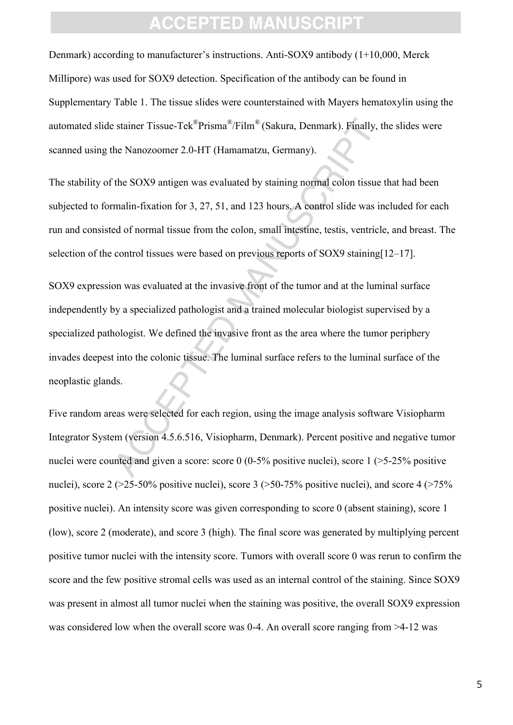Denmark) according to manufacturer's instructions. Anti-SOX9 antibody (1+10,000, Merck Millipore) was used for SOX9 detection. Specification of the antibody can be found in Supplementary Table 1. The tissue slides were counterstained with Mayers hematoxylin using the automated slide stainer Tissue-Tek®Prisma®/Film® (Sakura, Denmark). Finally, the slides were scanned using the Nanozoomer 2.0-HT (Hamamatzu, Germany).

The stability of the SOX9 antigen was evaluated by staining normal colon tissue that had been subjected to formalin-fixation for 3, 27, 51, and 123 hours. A control slide was included for each run and consisted of normal tissue from the colon, small intestine, testis, ventricle, and breast. The selection of the control tissues were based on previous reports of SOX9 staining [12–17].

estainer Tissue-Tek<sup>®</sup>Prisma<sup>®</sup>/Film<sup>®</sup> (Sakura, Denmark). Finally<br>the Nanozoomer 2.0-HT (Hamamatzu, Germany).<br>the SOX9 antigen was evaluated by staining normal colon tissu<br>malin-fixation for 3, 27, 51, and 123 hours. A co SOX9 expression was evaluated at the invasive front of the tumor and at the luminal surface independently by a specialized pathologist and a trained molecular biologist supervised by a specialized pathologist. We defined the invasive front as the area where the tumor periphery invades deepest into the colonic tissue. The luminal surface refers to the luminal surface of the neoplastic glands.

Five random areas were selected for each region, using the image analysis software Visiopharm Integrator System (version 4.5.6.516, Visiopharm, Denmark). Percent positive and negative tumor nuclei were counted and given a score: score 0 (0-5% positive nuclei), score 1 (>5-25% positive nuclei), score  $2$  (>25-50% positive nuclei), score 3 (>50-75% positive nuclei), and score 4 (>75% positive nuclei). An intensity score was given corresponding to score 0 (absent staining), score 1 (low), score 2 (moderate), and score 3 (high). The final score was generated by multiplying percent positive tumor nuclei with the intensity score. Tumors with overall score 0 was rerun to confirm the score and the few positive stromal cells was used as an internal control of the staining. Since SOX9 was present in almost all tumor nuclei when the staining was positive, the overall SOX9 expression was considered low when the overall score was 0-4. An overall score ranging from >4-12 was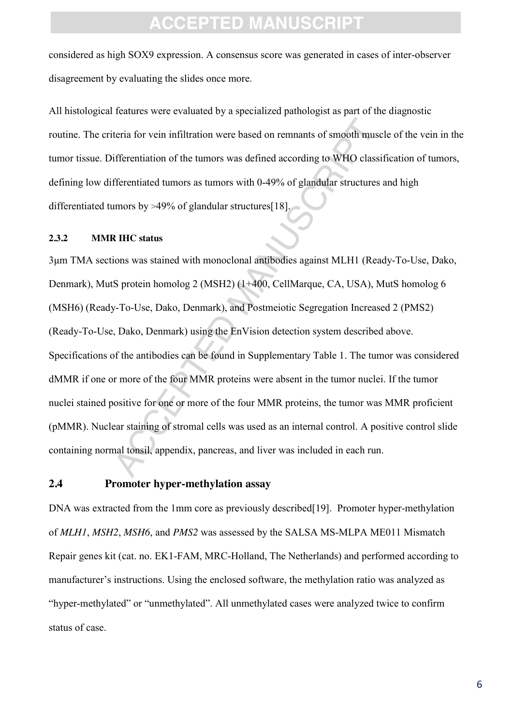considered as high SOX9 expression. A consensus score was generated in cases of inter-observer disagreement by evaluating the slides once more.

All histological features were evaluated by a specialized pathologist as part of the diagnostic routine. The criteria for vein infiltration were based on remnants of smooth muscle of the vein in the tumor tissue. Differentiation of the tumors was defined according to WHO classification of tumors, defining low differentiated tumors as tumors with 0-49% of glandular structures and high differentiated tumors by >49% of glandular structures[18].

#### **2.3.2 MMR IHC status**

teria for vein infiltration were based on remnants of smooth mu<br>ifferentiation of the tumors was defined according to WHO clas<br>fferentiated tumors as tumors with 0-49% of glandular structure<br>umors by >49% of glandular stru 3μm TMA sections was stained with monoclonal antibodies against MLH1 (Ready-To-Use, Dako, Denmark), MutS protein homolog 2 (MSH2) (1+400, CellMarque, CA, USA), MutS homolog 6 (MSH6) (Ready-To-Use, Dako, Denmark), and Postmeiotic Segregation Increased 2 (PMS2) (Ready-To-Use, Dako, Denmark) using the EnVision detection system described above. Specifications of the antibodies can be found in Supplementary Table 1. The tumor was considered dMMR if one or more of the four MMR proteins were absent in the tumor nuclei. If the tumor nuclei stained positive for one or more of the four MMR proteins, the tumor was MMR proficient (pMMR). Nuclear staining of stromal cells was used as an internal control. A positive control slide containing normal tonsil, appendix, pancreas, and liver was included in each run.

#### **2.4 Promoter hyper-methylation assay**

DNA was extracted from the 1mm core as previously described [19]. Promoter hyper-methylation of *MLH1*, *MSH2*, *MSH6*, and *PMS2* was assessed by the SALSA MS-MLPA ME011 Mismatch Repair genes kit (cat. no. EK1-FAM, MRC-Holland, The Netherlands) and performed according to manufacturer's instructions. Using the enclosed software, the methylation ratio was analyzed as "hyper-methylated" or "unmethylated". All unmethylated cases were analyzed twice to confirm status of case.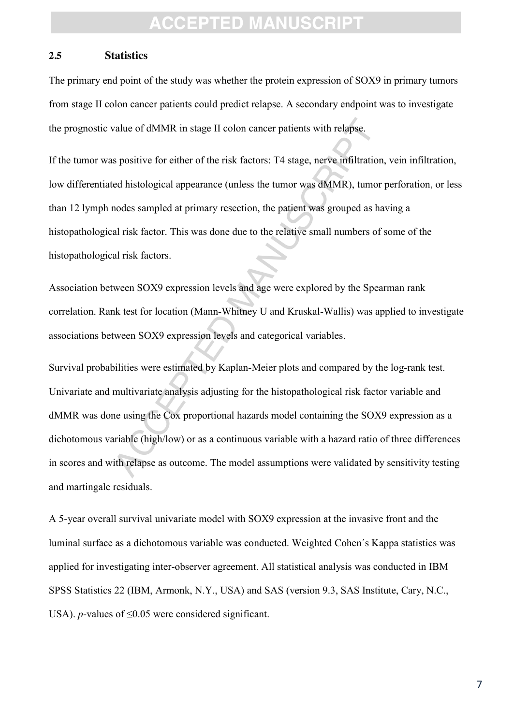#### **2.5 Statistics**

The primary end point of the study was whether the protein expression of SOX9 in primary tumors from stage II colon cancer patients could predict relapse. A secondary endpoint was to investigate the prognostic value of dMMR in stage II colon cancer patients with relapse.

If the tumor was positive for either of the risk factors: T4 stage, nerve infiltration, vein infiltration, low differentiated histological appearance (unless the tumor was dMMR), tumor perforation, or less than 12 lymph nodes sampled at primary resection, the patient was grouped as having a histopathological risk factor. This was done due to the relative small numbers of some of the histopathological risk factors.

Association between SOX9 expression levels and age were explored by the Spearman rank correlation. Rank test for location (Mann-Whitney U and Kruskal-Wallis) was applied to investigate associations between SOX9 expression levels and categorical variables.

value of dMMR in stage II colon cancer patients with relapse.<br>
s positive for either of the risk factors: T4 stage, nerve infiltratie<br>
ed histological appearance (unless the tumor was dMMR), tum<br>
nodes sampled at primary r Survival probabilities were estimated by Kaplan-Meier plots and compared by the log-rank test. Univariate and multivariate analysis adjusting for the histopathological risk factor variable and dMMR was done using the Cox proportional hazards model containing the SOX9 expression as a dichotomous variable (high/low) or as a continuous variable with a hazard ratio of three differences in scores and with relapse as outcome. The model assumptions were validated by sensitivity testing and martingale residuals.

A 5-year overall survival univariate model with SOX9 expression at the invasive front and the luminal surface as a dichotomous variable was conducted. Weighted Cohen´s Kappa statistics was applied for investigating inter-observer agreement. All statistical analysis was conducted in IBM SPSS Statistics 22 (IBM, Armonk, N.Y., USA) and SAS (version 9.3, SAS Institute, Cary, N.C., USA). *p*-values of  $\leq 0.05$  were considered significant.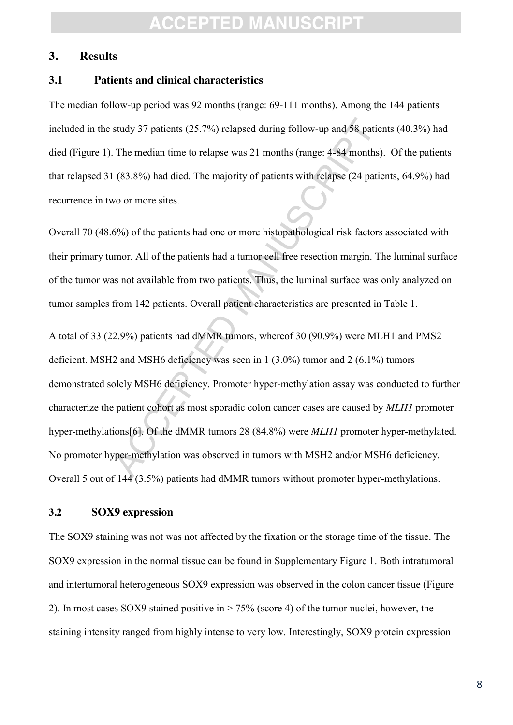#### **3. Results**

#### **3.1 Patients and clinical characteristics**

The median follow-up period was 92 months (range: 69-111 months). Among the 144 patients included in the study 37 patients (25.7%) relapsed during follow-up and 58 patients (40.3%) had died (Figure 1). The median time to relapse was 21 months (range: 4-84 months). Of the patients that relapsed 31 (83.8%) had died. The majority of patients with relapse (24 patients, 64.9%) had recurrence in two or more sites.

Overall 70 (48.6%) of the patients had one or more histopathological risk factors associated with their primary tumor. All of the patients had a tumor cell free resection margin. The luminal surface of the tumor was not available from two patients. Thus, the luminal surface was only analyzed on tumor samples from 142 patients. Overall patient characteristics are presented in Table 1.

study 37 patients (25.7%) relapsed during follow-up and 58 pat<br>The median time to relapse was 21 months (range: 4-84 month<br>(83.8%) had died. The majority of patients with relapse (24 pa<br>vo or more sites.<br>6%) of the patient A total of 33 (22.9%) patients had dMMR tumors, whereof 30 (90.9%) were MLH1 and PMS2 deficient. MSH2 and MSH6 deficiency was seen in 1 (3.0%) tumor and 2 (6.1%) tumors demonstrated solely MSH6 deficiency. Promoter hyper-methylation assay was conducted to further characterize the patient cohort as most sporadic colon cancer cases are caused by *MLH1* promoter hyper-methylations[6]. Of the dMMR tumors 28 (84.8%) were *MLH1* promoter hyper-methylated. No promoter hyper-methylation was observed in tumors with MSH2 and/or MSH6 deficiency. Overall 5 out of 144 (3.5%) patients had dMMR tumors without promoter hyper-methylations.

#### **3.2 SOX9 expression**

The SOX9 staining was not was not affected by the fixation or the storage time of the tissue. The SOX9 expression in the normal tissue can be found in Supplementary Figure 1. Both intratumoral and intertumoral heterogeneous SOX9 expression was observed in the colon cancer tissue (Figure 2). In most cases SOX9 stained positive in > 75% (score 4) of the tumor nuclei, however, the staining intensity ranged from highly intense to very low. Interestingly, SOX9 protein expression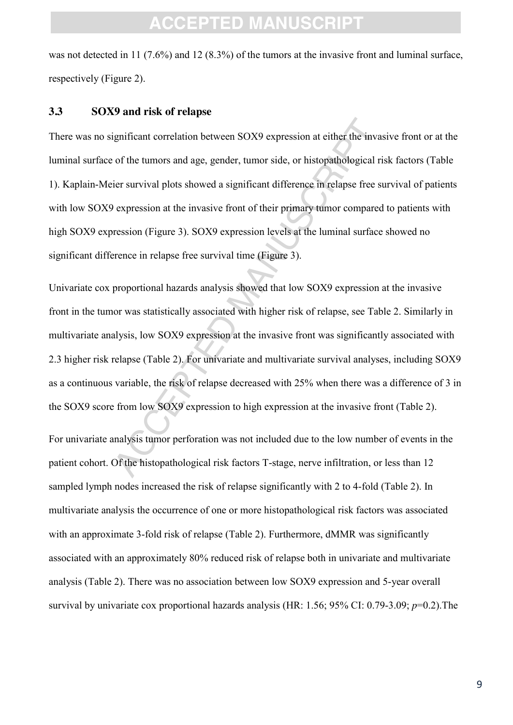was not detected in 11 (7.6%) and 12 (8.3%) of the tumors at the invasive front and luminal surface, respectively (Figure 2).

#### **3.3 SOX9 and risk of relapse**

ignificant correlation between SOX9 expression at either the inv<br>of the tumors and age, gender, tumor side, or histopathological<br>ier survival plots showed a significant difference in relapse free<br>versesion at the invasive There was no significant correlation between SOX9 expression at either the invasive front or at the luminal surface of the tumors and age, gender, tumor side, or histopathological risk factors (Table 1). Kaplain-Meier survival plots showed a significant difference in relapse free survival of patients with low SOX9 expression at the invasive front of their primary tumor compared to patients with high SOX9 expression (Figure 3). SOX9 expression levels at the luminal surface showed no significant difference in relapse free survival time (Figure 3).

Univariate cox proportional hazards analysis showed that low SOX9 expression at the invasive front in the tumor was statistically associated with higher risk of relapse, see Table 2. Similarly in multivariate analysis, low SOX9 expression at the invasive front was significantly associated with 2.3 higher risk relapse (Table 2). For univariate and multivariate survival analyses, including SOX9 as a continuous variable, the risk of relapse decreased with 25% when there was a difference of 3 in the SOX9 score from low SOX9 expression to high expression at the invasive front (Table 2).

For univariate analysis tumor perforation was not included due to the low number of events in the patient cohort. Of the histopathological risk factors T-stage, nerve infiltration, or less than 12 sampled lymph nodes increased the risk of relapse significantly with 2 to 4-fold (Table 2). In multivariate analysis the occurrence of one or more histopathological risk factors was associated with an approximate 3-fold risk of relapse (Table 2). Furthermore, dMMR was significantly associated with an approximately 80% reduced risk of relapse both in univariate and multivariate analysis (Table 2). There was no association between low SOX9 expression and 5-year overall survival by univariate cox proportional hazards analysis (HR: 1.56; 95% CI: 0.79-3.09; *p*=0.2).The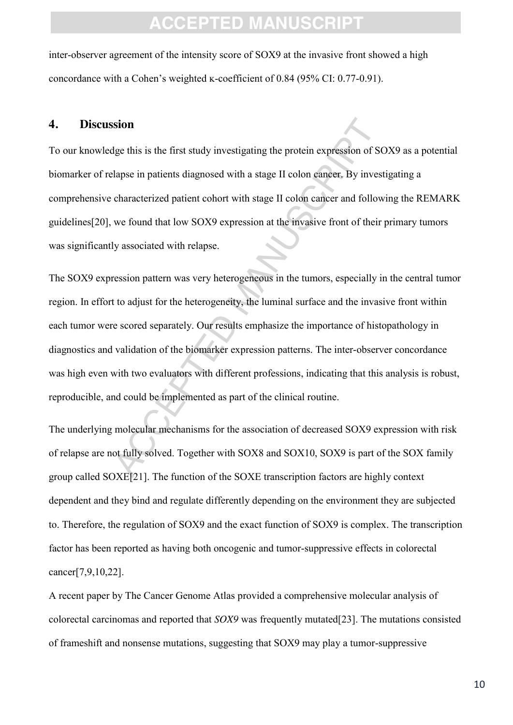inter-observer agreement of the intensity score of SOX9 at the invasive front showed a high concordance with a Cohen's weighted  $\kappa$ -coefficient of 0.84 (95% CI: 0.77-0.91).

#### **4. Discussion**

To our knowledge this is the first study investigating the protein expression of SOX9 as a potential biomarker of relapse in patients diagnosed with a stage II colon cancer. By investigating a comprehensive characterized patient cohort with stage II colon cancer and following the REMARK guidelines[20], we found that low SOX9 expression at the invasive front of their primary tumors was significantly associated with relapse.

**Sion**<br>sion<br>dge this is the first study investigating the protein expression of<br>alapse in patients diagnosed with a stage II colon cancer. By inve<br>characterized patient cohort with stage II colon cancer and follo<br>we found The SOX9 expression pattern was very heterogeneous in the tumors, especially in the central tumor region. In effort to adjust for the heterogeneity, the luminal surface and the invasive front within each tumor were scored separately. Our results emphasize the importance of histopathology in diagnostics and validation of the biomarker expression patterns. The inter-observer concordance was high even with two evaluators with different professions, indicating that this analysis is robust, reproducible, and could be implemented as part of the clinical routine.

The underlying molecular mechanisms for the association of decreased SOX9 expression with risk of relapse are not fully solved. Together with SOX8 and SOX10, SOX9 is part of the SOX family group called SOXE[21]. The function of the SOXE transcription factors are highly context dependent and they bind and regulate differently depending on the environment they are subjected to. Therefore, the regulation of SOX9 and the exact function of SOX9 is complex. The transcription factor has been reported as having both oncogenic and tumor-suppressive effects in colorectal cancer[7,9,10,22].

A recent paper by The Cancer Genome Atlas provided a comprehensive molecular analysis of colorectal carcinomas and reported that *SOX9* was frequently mutated[23]. The mutations consisted of frameshift and nonsense mutations, suggesting that SOX9 may play a tumor-suppressive

10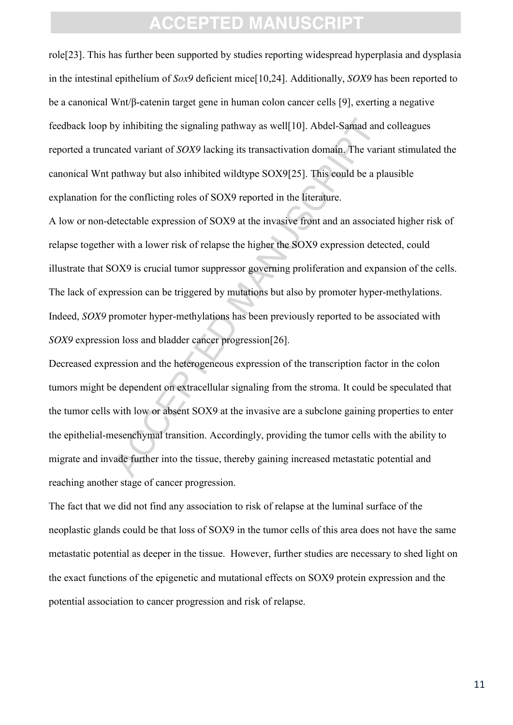role[23]. This has further been supported by studies reporting widespread hyperplasia and dysplasia in the intestinal epithelium of *Sox9* deficient mice[10,24]. Additionally, *SOX9* has been reported to be a canonical Wnt/β-catenin target gene in human colon cancer cells [9], exerting a negative feedback loop by inhibiting the signaling pathway as well[10]. Abdel-Samad and colleagues reported a truncated variant of *SOX9* lacking its transactivation domain. The variant stimulated the canonical Wnt pathway but also inhibited wildtype SOX9[25]. This could be a plausible explanation for the conflicting roles of SOX9 reported in the literature.

by inhibiting the signaling pathway as well[10]. Abdel-Samad and variant of *SOX9* lacking its transactivation domain. The variant variant of *SOX9* lacking its transactivation domain. The variant way but also inhibited wi A low or non-detectable expression of SOX9 at the invasive front and an associated higher risk of relapse together with a lower risk of relapse the higher the SOX9 expression detected, could illustrate that SOX9 is crucial tumor suppressor governing proliferation and expansion of the cells. The lack of expression can be triggered by mutations but also by promoter hyper-methylations. Indeed, *SOX9* promoter hyper-methylations has been previously reported to be associated with *SOX9* expression loss and bladder cancer progression[26].

Decreased expression and the heterogeneous expression of the transcription factor in the colon tumors might be dependent on extracellular signaling from the stroma. It could be speculated that the tumor cells with low or absent SOX9 at the invasive are a subclone gaining properties to enter the epithelial-mesenchymal transition. Accordingly, providing the tumor cells with the ability to migrate and invade further into the tissue, thereby gaining increased metastatic potential and reaching another stage of cancer progression.

The fact that we did not find any association to risk of relapse at the luminal surface of the neoplastic glands could be that loss of SOX9 in the tumor cells of this area does not have the same metastatic potential as deeper in the tissue. However, further studies are necessary to shed light on the exact functions of the epigenetic and mutational effects on SOX9 protein expression and the potential association to cancer progression and risk of relapse.

11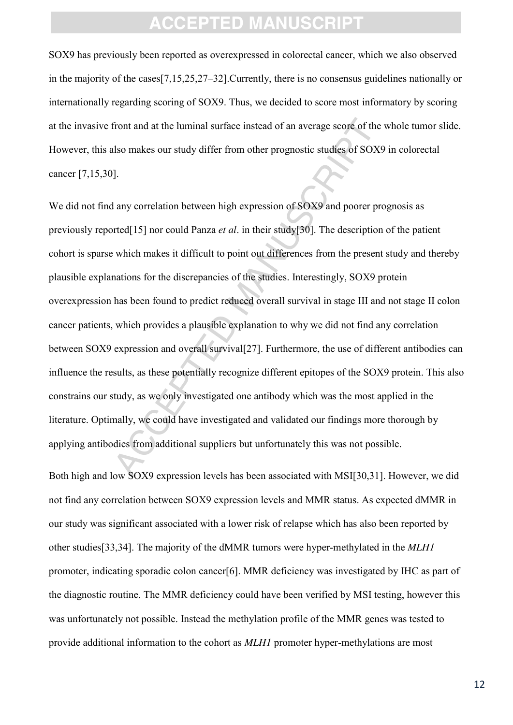SOX9 has previously been reported as overexpressed in colorectal cancer, which we also observed in the majority of the cases[7,15,25,27–32].Currently, there is no consensus guidelines nationally or internationally regarding scoring of SOX9. Thus, we decided to score most informatory by scoring at the invasive front and at the luminal surface instead of an average score of the whole tumor slide. However, this also makes our study differ from other prognostic studies of SOX9 in colorectal cancer [7,15,30].

front and at the luminal surface instead of an average score of th<br>also makes our study differ from other prognostic studies of SO.<br>J.<br>any correlation between high expression of SOX9 and poorer preted[15] nor could Panza We did not find any correlation between high expression of SOX9 and poorer prognosis as previously reported[15] nor could Panza *et al*. in their study[30]. The description of the patient cohort is sparse which makes it difficult to point out differences from the present study and thereby plausible explanations for the discrepancies of the studies. Interestingly, SOX9 protein overexpression has been found to predict reduced overall survival in stage III and not stage II colon cancer patients, which provides a plausible explanation to why we did not find any correlation between SOX9 expression and overall survival [27]. Furthermore, the use of different antibodies can influence the results, as these potentially recognize different epitopes of the SOX9 protein. This also constrains our study, as we only investigated one antibody which was the most applied in the literature. Optimally, we could have investigated and validated our findings more thorough by applying antibodies from additional suppliers but unfortunately this was not possible.

Both high and low SOX9 expression levels has been associated with MSI[30,31]. However, we did not find any correlation between SOX9 expression levels and MMR status. As expected dMMR in our study was significant associated with a lower risk of relapse which has also been reported by other studies[33,34]. The majority of the dMMR tumors were hyper-methylated in the *MLH1*  promoter, indicating sporadic colon cancer[6]. MMR deficiency was investigated by IHC as part of the diagnostic routine. The MMR deficiency could have been verified by MSI testing, however this was unfortunately not possible. Instead the methylation profile of the MMR genes was tested to provide additional information to the cohort as *MLH1* promoter hyper-methylations are most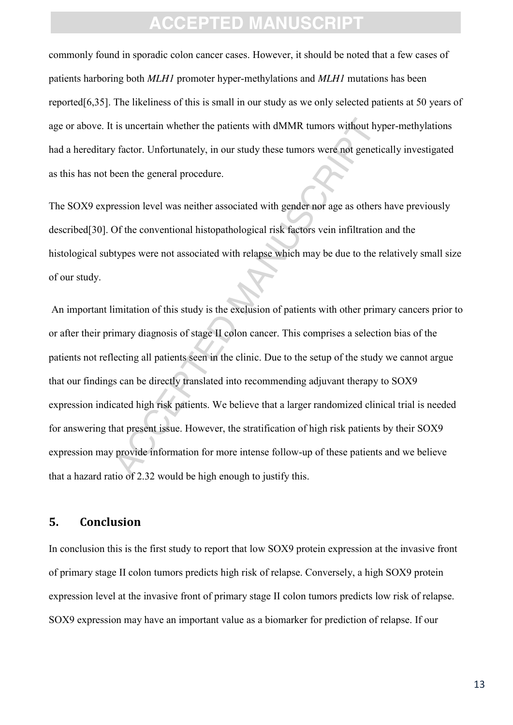commonly found in sporadic colon cancer cases. However, it should be noted that a few cases of patients harboring both *MLH1* promoter hyper-methylations and *MLH1* mutations has been reported[6,35]. The likeliness of this is small in our study as we only selected patients at 50 years of age or above. It is uncertain whether the patients with dMMR tumors without hyper-methylations had a hereditary factor. Unfortunately, in our study these tumors were not genetically investigated as this has not been the general procedure.

The SOX9 expression level was neither associated with gender nor age as others have previously described[30]. Of the conventional histopathological risk factors vein infiltration and the histological subtypes were not associated with relapse which may be due to the relatively small size of our study.

is uncertain whether the patients with dMMR tumors without hy factor. Unfortunately, in our study these tumors were not gene<br>been the general procedure.<br>The general procedure associated with gender nor age as otherency of An important limitation of this study is the exclusion of patients with other primary cancers prior to or after their primary diagnosis of stage II colon cancer. This comprises a selection bias of the patients not reflecting all patients seen in the clinic. Due to the setup of the study we cannot argue that our findings can be directly translated into recommending adjuvant therapy to SOX9 expression indicated high risk patients. We believe that a larger randomized clinical trial is needed for answering that present issue. However, the stratification of high risk patients by their SOX9 expression may provide information for more intense follow-up of these patients and we believe that a hazard ratio of 2.32 would be high enough to justify this.

#### **5. Conclusion**

In conclusion this is the first study to report that low SOX9 protein expression at the invasive front of primary stage II colon tumors predicts high risk of relapse. Conversely, a high SOX9 protein expression level at the invasive front of primary stage II colon tumors predicts low risk of relapse. SOX9 expression may have an important value as a biomarker for prediction of relapse. If our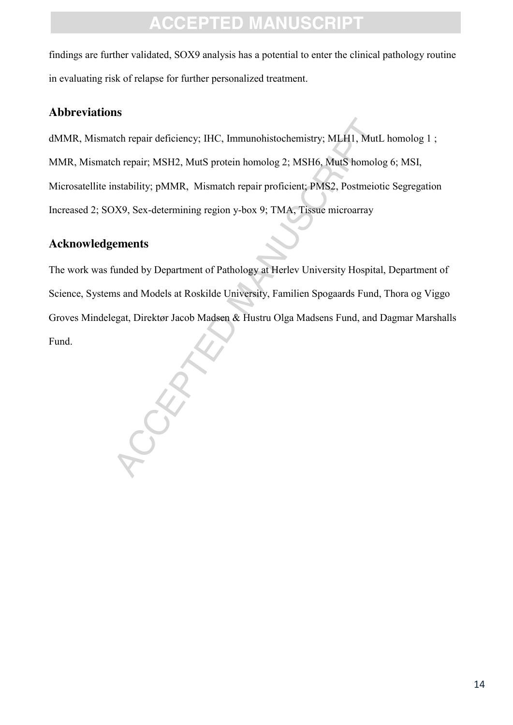findings are further validated, SOX9 analysis has a potential to enter the clinical pathology routine in evaluating risk of relapse for further personalized treatment.

### **Abbreviations**

dMMR, Mismatch repair deficiency; IHC, Immunohistochemistry; MLH1, MutL homolog 1 ; MMR, Mismatch repair; MSH2, MutS protein homolog 2; MSH6, MutS homolog 6; MSI, Microsatellite instability; pMMR, Mismatch repair proficient; PMS2, Postmeiotic Segregation Increased 2; SOX9, Sex-determining region y-box 9; TMA, Tissue microarray

### **Acknowledgements**

The work was funded by Department of Pathology at Herlev University Hospital, Department of Science, Systems and Models at Roskilde University, Familien Spogaards Fund, Thora og Viggo Groves Mindelegat, Direktør Jacob Madsen & Hustru Olga Madsens Fund, and Dagmar Marshalls Fund.

CCEPTED MANUSCRIPT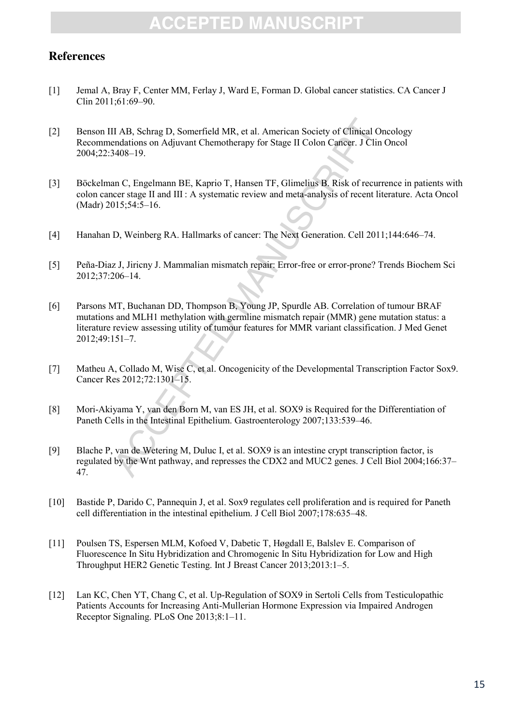### **References**

- [1] Jemal A, Bray F, Center MM, Ferlay J, Ward E, Forman D. Global cancer statistics. CA Cancer J Clin 2011;61:69–90.
- [2] Benson III AB, Schrag D, Somerfield MR, et al. American Society of Clinical Oncology Recommendations on Adjuvant Chemotherapy for Stage II Colon Cancer. J Clin Oncol 2004;22:3408–19.
- [3] Böckelman C, Engelmann BE, Kaprio T, Hansen TF, Glimelius B. Risk of recurrence in patients with colon cancer stage II and III : A systematic review and meta-analysis of recent literature. Acta Oncol (Madr) 2015;54:5–16.
- [4] Hanahan D, Weinberg RA. Hallmarks of cancer: The Next Generation. Cell 2011;144:646–74.
- [5] Peña-Diaz J, Jiricny J. Mammalian mismatch repair: Error-free or error-prone? Trends Biochem Sci 2012;37:206–14.
- II AB, Schrag D, Somerfield MR, et al. American Society of Clinical<br>endations on Adjuvant Chemotherapy for Stage II Colon Cancer. J Cl<br>4408–19.<br>an C, Engelmann BE, Kaprio T, Hansen TF, Glimelius B. Risk of rece<br>cer stage I [6] Parsons MT, Buchanan DD, Thompson B, Young JP, Spurdle AB. Correlation of tumour BRAF mutations and MLH1 methylation with germline mismatch repair (MMR) gene mutation status: a literature review assessing utility of tumour features for MMR variant classification. J Med Genet 2012;49:151–7.
- [7] Matheu A, Collado M, Wise C, et al. Oncogenicity of the Developmental Transcription Factor Sox9. Cancer Res 2012;72:1301–15.
- [8] Mori-Akiyama Y, van den Born M, van ES JH, et al. SOX9 is Required for the Differentiation of Paneth Cells in the Intestinal Epithelium. Gastroenterology 2007;133:539–46.
- [9] Blache P, van de Wetering M, Duluc I, et al. SOX9 is an intestine crypt transcription factor, is regulated by the Wnt pathway, and represses the CDX2 and MUC2 genes. J Cell Biol 2004;166:37– 47.
- [10] Bastide P, Darido C, Pannequin J, et al. Sox9 regulates cell proliferation and is required for Paneth cell differentiation in the intestinal epithelium. J Cell Biol 2007;178:635–48.
- [11] Poulsen TS, Espersen MLM, Kofoed V, Dabetic T, Høgdall E, Balslev E. Comparison of Fluorescence In Situ Hybridization and Chromogenic In Situ Hybridization for Low and High Throughput HER2 Genetic Testing. Int J Breast Cancer 2013;2013:1–5.
- [12] Lan KC, Chen YT, Chang C, et al. Up-Regulation of SOX9 in Sertoli Cells from Testiculopathic Patients Accounts for Increasing Anti-Mullerian Hormone Expression via Impaired Androgen Receptor Signaling. PLoS One 2013;8:1–11.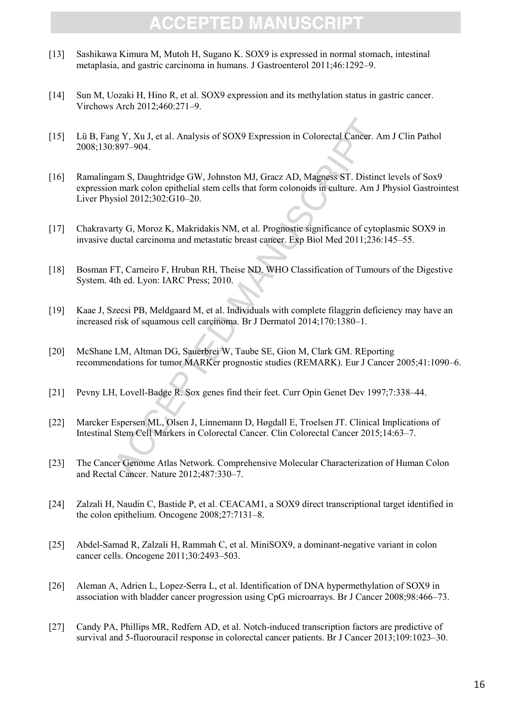- [13] Sashikawa Kimura M, Mutoh H, Sugano K. SOX9 is expressed in normal stomach, intestinal metaplasia, and gastric carcinoma in humans. J Gastroenterol 2011;46:1292–9.
- [14] Sun M, Uozaki H, Hino R, et al. SOX9 expression and its methylation status in gastric cancer. Virchows Arch 2012;460:271–9.
- [15] Lü B, Fang Y, Xu J, et al. Analysis of SOX9 Expression in Colorectal Cancer. Am J Clin Pathol 2008;130:897–904.
- ng Y, Xu J, et al. Analysis of SOX9 Expression in Colorectal Cancer:<br>
897–904.<br>
2897–904.<br>
2897–904.<br>
2897–904.<br>
2897–904.<br>
2897–904.<br>
2897–904.<br>
2897–904.<br>
2897–904.<br>
2897–904.<br>
2897–904.<br>
2897–904.<br>
2897–904.<br>
2897–908.<br> [16] Ramalingam S, Daughtridge GW, Johnston MJ, Gracz AD, Magness ST. Distinct levels of Sox9 expression mark colon epithelial stem cells that form colonoids in culture. Am J Physiol Gastrointest Liver Physiol 2012;302:G10–20.
- [17] Chakravarty G, Moroz K, Makridakis NM, et al. Prognostic significance of cytoplasmic SOX9 in invasive ductal carcinoma and metastatic breast cancer. Exp Biol Med 2011;236:145–55.
- [18] Bosman FT, Carneiro F, Hruban RH, Theise ND. WHO Classification of Tumours of the Digestive System. 4th ed. Lyon: IARC Press; 2010.
- [19] Kaae J, Szecsi PB, Meldgaard M, et al. Individuals with complete filaggrin deficiency may have an increased risk of squamous cell carcinoma. Br J Dermatol 2014;170:1380–1.
- [20] McShane LM, Altman DG, Sauerbrei W, Taube SE, Gion M, Clark GM. REporting recommendations for tumor MARKer prognostic studies (REMARK). Eur J Cancer 2005;41:1090–6.
- [21] Pevny LH, Lovell-Badge R. Sox genes find their feet. Curr Opin Genet Dev 1997;7:338–44.
- [22] Marcker Espersen ML, Olsen J, Linnemann D, Høgdall E, Troelsen JT. Clinical Implications of Intestinal Stem Cell Markers in Colorectal Cancer. Clin Colorectal Cancer 2015;14:63–7.
- [23] The Cancer Genome Atlas Network. Comprehensive Molecular Characterization of Human Colon and Rectal Cancer. Nature 2012;487:330–7.
- [24] Zalzali H, Naudin C, Bastide P, et al. CEACAM1, a SOX9 direct transcriptional target identified in the colon epithelium. Oncogene 2008;27:7131–8.
- [25] Abdel-Samad R, Zalzali H, Rammah C, et al. MiniSOX9, a dominant-negative variant in colon cancer cells. Oncogene 2011;30:2493–503.
- [26] Aleman A, Adrien L, Lopez-Serra L, et al. Identification of DNA hypermethylation of SOX9 in association with bladder cancer progression using CpG microarrays. Br J Cancer 2008;98:466–73.
- [27] Candy PA, Phillips MR, Redfern AD, et al. Notch-induced transcription factors are predictive of survival and 5-fluorouracil response in colorectal cancer patients. Br J Cancer 2013;109:1023–30.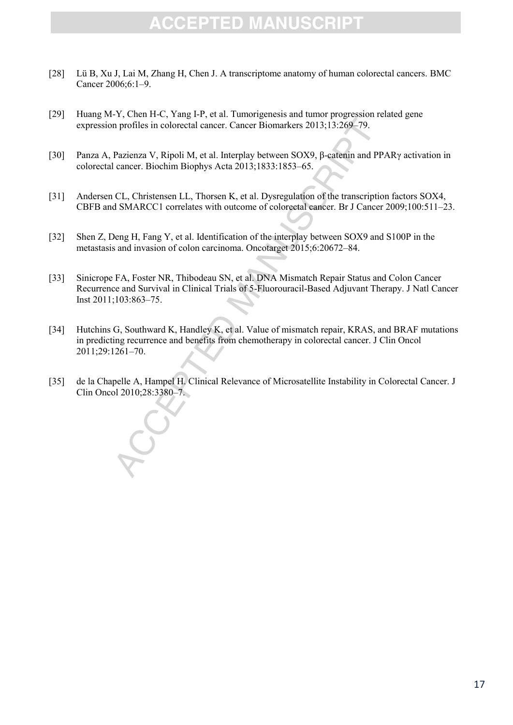- [28] Lü B, Xu J, Lai M, Zhang H, Chen J. A transcriptome anatomy of human colorectal cancers. BMC Cancer 2006;6:1–9.
- [29] Huang M-Y, Chen H-C, Yang I-P, et al. Tumorigenesis and tumor progression related gene expression profiles in colorectal cancer. Cancer Biomarkers 2013;13:269–79.
- [30] Panza A, Pazienza V, Ripoli M, et al. Interplay between SOX9, β-catenin and PPARγ activation in colorectal cancer. Biochim Biophys Acta 2013;1833:1853–65.
- [31] Andersen CL, Christensen LL, Thorsen K, et al. Dysregulation of the transcription factors SOX4, CBFB and SMARCC1 correlates with outcome of colorectal cancer. Br J Cancer 2009;100:511–23.
- [32] Shen Z, Deng H, Fang Y, et al. Identification of the interplay between SOX9 and S100P in the metastasis and invasion of colon carcinoma. Oncotarget 2015;6:20672–84.
- n profiles in colorectal cancer. Cancer Biomarkers 2013;13:269–79.<br>
Pazienza V, Ripoli M, et al. Interplay between SOX9, β-catenin and l<br>
cancer. Biochim Biophys Acta 2013;1833:1853–65.<br>
CL, Christensen LL, Thorsen K, et [33] Sinicrope FA, Foster NR, Thibodeau SN, et al. DNA Mismatch Repair Status and Colon Cancer Recurrence and Survival in Clinical Trials of 5-Fluorouracil-Based Adjuvant Therapy. J Natl Cancer Inst 2011;103:863–75.
- [34] Hutchins G, Southward K, Handley K, et al. Value of mismatch repair, KRAS, and BRAF mutations in predicting recurrence and benefits from chemotherapy in colorectal cancer. J Clin Oncol 2011;29:1261–70.
- [35] de la Chapelle A, Hampel H. Clinical Relevance of Microsatellite Instability in Colorectal Cancer. J Clin Oncol 2010;28:3380–7.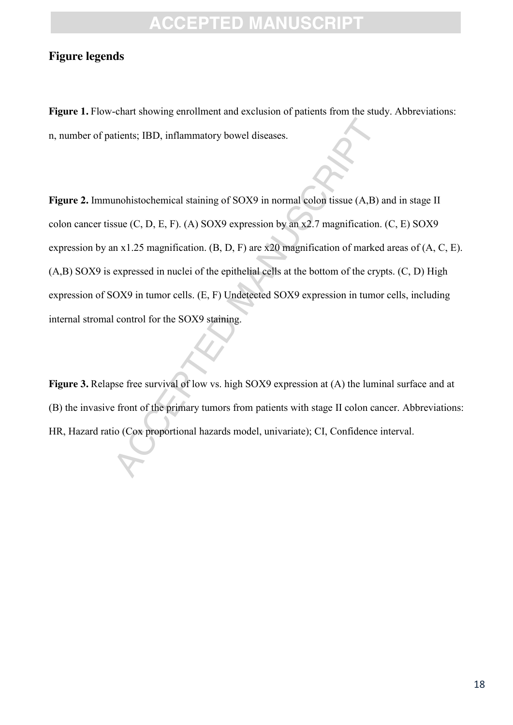### **Figure legends**

Figure 1. Flow-chart showing enrollment and exclusion of patients from the study. Abbreviations: n, number of patients; IBD, inflammatory bowel diseases.

The strength standard standard standard is a moniton of sole (C, D, E, F). (A) SOX9 expression by an x2.7 magnification at x1.25 magnification. (B, D, F) are x20 magnification of mark expressed in nuclei of the epithelial Figure 2. Immunohistochemical staining of SOX9 in normal colon tissue (A,B) and in stage II colon cancer tissue  $(C, D, E, F)$ . (A) SOX9 expression by an x2.7 magnification.  $(C, E)$  SOX9 expression by an x1.25 magnification. (B, D, F) are x20 magnification of marked areas of (A, C, E). (A,B) SOX9 is expressed in nuclei of the epithelial cells at the bottom of the crypts. (C, D) High expression of SOX9 in tumor cells. (E, F) Undetected SOX9 expression in tumor cells, including internal stromal control for the SOX9 staining.

**Figure 3.** Relapse free survival of low vs. high SOX9 expression at (A) the luminal surface and at (B) the invasive front of the primary tumors from patients with stage II colon cancer. Abbreviations: HR, Hazard ratio (Cox proportional hazards model, univariate); CI, Confidence interval.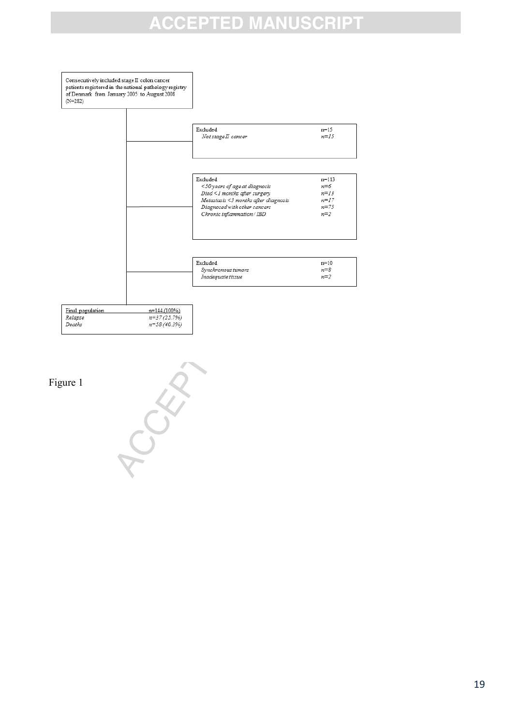

Figure 1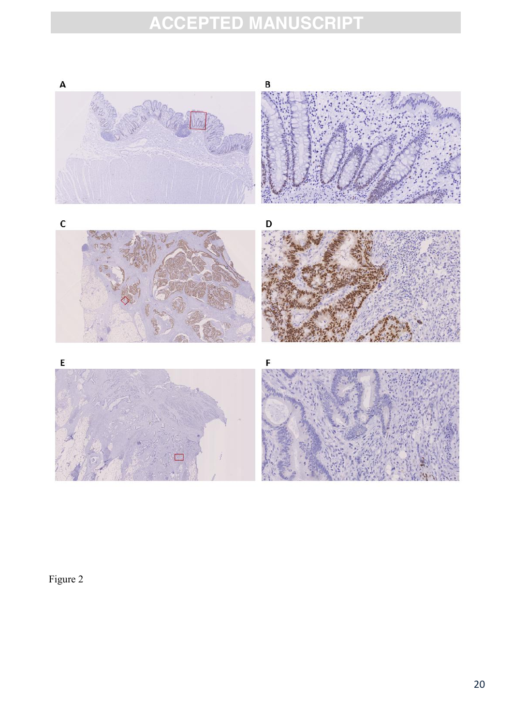

Figure 2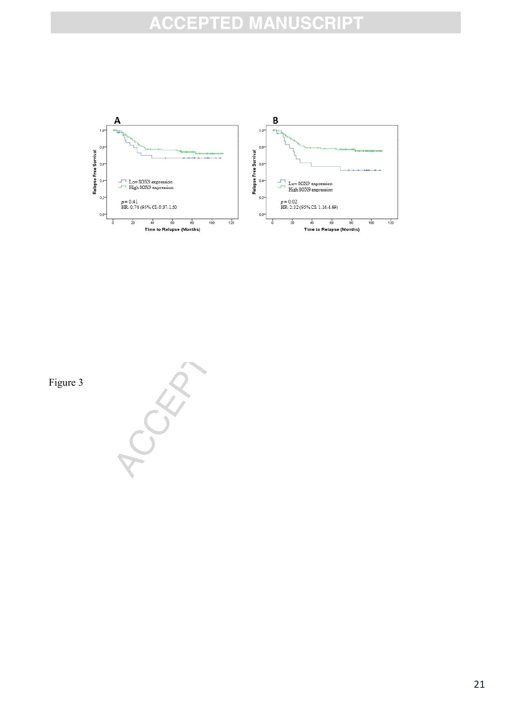

Figure 3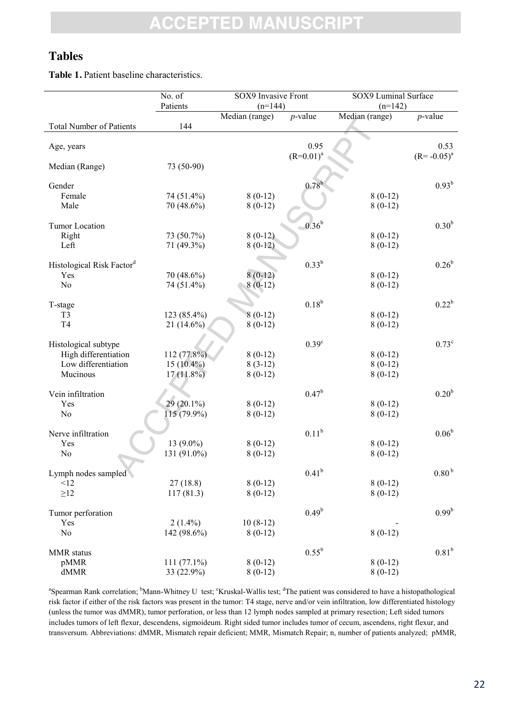### **Tables**

**Table 1.** Patient baseline characteristics.

|                                              | No. of        | SOX9 Invasive Front         |                      | SOX9 Luminal Surface        |                           |
|----------------------------------------------|---------------|-----------------------------|----------------------|-----------------------------|---------------------------|
|                                              | Patients      | $(n=144)$<br>Median (range) | $p$ -value           | $(n=142)$<br>Median (range) | $p$ -value                |
| <b>Total Number of Patients</b>              | 144           |                             |                      |                             |                           |
| Age, years                                   |               |                             | 0.95<br>$(R=0.01)^a$ |                             | 0.53<br>$(R = -0.05)^{a}$ |
| Median (Range)                               | 73 (50-90)    |                             |                      |                             |                           |
| Gender                                       |               |                             | $0.78^{b}$           |                             | $0.93^{b}$                |
| Female                                       | 74 (51.4%)    | $8(0-12)$                   |                      | $8(0-12)$                   |                           |
| Male                                         | 70 (48.6%)    | $8(0-12)$                   |                      | $8(0-12)$                   |                           |
| Tumor Location                               |               |                             | $-0.36^{b}$          |                             | 0.30 <sup>b</sup>         |
| Right                                        | 73 (50.7%)    | $8(0-12)$                   |                      | $8(0-12)$                   |                           |
| Left                                         | 71 (49.3%)    | $8(0-12)$                   |                      | $8(0-12)$                   |                           |
| Histological Risk Factor <sup>d</sup>        |               |                             | $0.33^{b}$           |                             | $0.26^{b}$                |
| Yes                                          | 70 (48.6%)    | $8(0-12)$                   |                      | $8(0-12)$                   |                           |
| N <sub>0</sub>                               | 74 (51.4%)    | $8(0-12)$                   |                      | $8(0-12)$                   |                           |
|                                              |               |                             |                      |                             |                           |
| T-stage                                      |               |                             | $0.18^{b}$           |                             | $0.22^{b}$                |
| T <sub>3</sub>                               | 123 (85.4%)   | $8(0-12)$                   |                      | $8(0-12)$                   |                           |
| T <sub>4</sub>                               | $21(14.6\%)$  | $8(0-12)$                   |                      | $8(0-12)$                   |                           |
|                                              |               |                             | 0.39 <sup>c</sup>    |                             | $0.73^{\circ}$            |
| Histological subtype<br>High differentiation | 112 (77.8%)   | $8(0-12)$                   |                      | $8(0-12)$                   |                           |
| Low differentiation                          | $15(10.4\%)$  | $8(3-12)$                   |                      | $8(0-12)$                   |                           |
| Mucinous                                     | $17(11.8\%)$  | $8(0-12)$                   |                      | $8(0-12)$                   |                           |
|                                              |               |                             |                      |                             |                           |
| Vein infiltration                            |               |                             | $0.47^{b}$           |                             | 0.20 <sup>b</sup>         |
| Yes                                          | $29(20.1\%)$  | $8(0-12)$                   |                      | $8(0-12)$                   |                           |
| No                                           | 115 (79.9%)   | $8(0-12)$                   |                      | $8(0-12)$                   |                           |
|                                              |               |                             |                      |                             |                           |
| Nerve infiltration                           |               |                             | $0.11^{b}$           |                             | $0.06^{\rm b}$            |
| Yes                                          | 13 $(9.0\%)$  | $8(0-12)$                   |                      | $8(0-12)$                   |                           |
| No                                           | 131 (91.0%)   | $8(0-12)$                   |                      | $8(0-12)$                   |                           |
| Lymph nodes sampled                          |               |                             | $0.41^{b}$           |                             | 0.80 <sup>b</sup>         |
| <12                                          | 27(18.8)      | $8(0-12)$                   |                      | $8(0-12)$                   |                           |
| $\geq$ 12                                    | 117(81.3)     | $8(0-12)$                   |                      | $8(0-12)$                   |                           |
|                                              |               |                             |                      |                             |                           |
| Tumor perforation                            |               |                             | $0.49^b$             |                             | $0.99^{b}$                |
| Yes                                          | $2(1.4\%)$    | $10(8-12)$                  |                      |                             |                           |
| N <sub>o</sub>                               | 142 (98.6%)   | $8(0-12)$                   |                      | $8(0-12)$                   |                           |
| MMR status                                   |               |                             | $0.55^{b}$           |                             | 0.81 <sup>b</sup>         |
| pMMR                                         | $111(77.1\%)$ | $8(0-12)$                   |                      | $8(0-12)$                   |                           |
| dMMR                                         | 33 (22.9%)    | $8(0-12)$                   |                      | $8(0-12)$                   |                           |

<sup>a</sup>Spearman Rank correlation; <sup>b</sup>Mann-Whitney U test; <sup>c</sup>Kruskal-Wallis test; <sup>d</sup>The patient was considered to have a histopathological risk factor if either of the risk factors was present in the tumor: T4 stage, nerve and/or vein infiltration, low differentiated histology (unless the tumor was dMMR), tumor perforation, or less than 12 lymph nodes sampled at primary resection; Left sided tumors includes tumors of left flexur, descendens, sigmoideum. Right sided tumor includes tumor of cecum, ascendens, right flexur, and transversum. Abbreviations: dMMR, Mismatch repair deficient; MMR, Mismatch Repair; n, number of patients analyzed; pMMR,